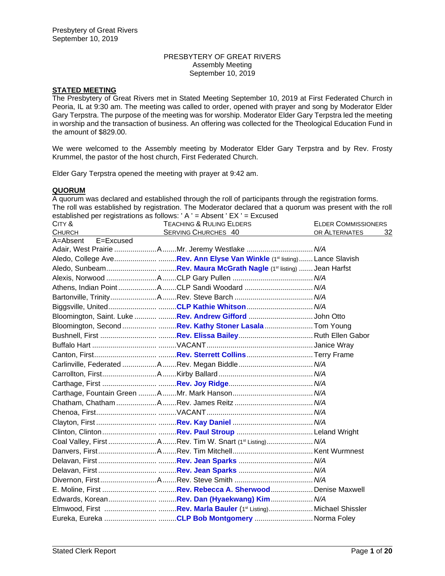#### PRESBYTERY OF GREAT RIVERS Assembly Meeting September 10, 2019

# **STATED MEETING**

The Presbytery of Great Rivers met in Stated Meeting September 10, 2019 at First Federated Church in Peoria, IL at 9:30 am. The meeting was called to order, opened with prayer and song by Moderator Elder Gary Terpstra. The purpose of the meeting was for worship. Moderator Elder Gary Terpstra led the meeting in worship and the transaction of business. An offering was collected for the Theological Education Fund in the amount of \$829.00.

We were welcomed to the Assembly meeting by Moderator Elder Gary Terpstra and by Rev. Frosty Krummel, the pastor of the host church, First Federated Church.

Elder Gary Terpstra opened the meeting with prayer at 9:42 am.

# **QUORUM**

A quorum was declared and established through the roll of participants through the registration forms. The roll was established by registration. The Moderator declared that a quorum was present with the roll established per registrations as follows: ' A ' = Absent '  $FX$  ' =  $Exquest$ 

| CITY &                    | <b>TEACHING &amp; RULING ELDERS</b>                     | <b>ELDER COMMISSIONERS</b> |    |
|---------------------------|---------------------------------------------------------|----------------------------|----|
| <b>CHURCH</b>             | <b>SERVING CHURCHES 40</b>                              | OR ALTERNATES              | 32 |
| A=Absent<br>$E = Excused$ | Adair, West Prairie AMr. Jeremy Westlake  N/A           |                            |    |
|                           |                                                         |                            |    |
|                           |                                                         |                            |    |
|                           |                                                         |                            |    |
|                           |                                                         |                            |    |
|                           | Athens, Indian PointACLP Sandi Woodard  N/A             |                            |    |
|                           |                                                         |                            |    |
|                           | Biggsville, UnitedCLP Kathie Whitson N/A                |                            |    |
|                           | Bloomington, Saint. Luke  Rev. Andrew Gifford John Otto |                            |    |
|                           | Bloomington, Second Rev. Kathy Stoner Lasala  Tom Young |                            |    |
|                           |                                                         |                            |    |
|                           |                                                         |                            |    |
|                           |                                                         |                            |    |
|                           |                                                         |                            |    |
|                           |                                                         |                            |    |
|                           |                                                         |                            |    |
|                           |                                                         |                            |    |
|                           |                                                         |                            |    |
|                           |                                                         |                            |    |
|                           |                                                         |                            |    |
|                           |                                                         |                            |    |
|                           | Coal Valley, First ARev. Tim W. Snart (1st Listing) N/A |                            |    |
|                           |                                                         |                            |    |
|                           |                                                         |                            |    |
|                           |                                                         |                            |    |
|                           |                                                         |                            |    |
|                           |                                                         |                            |    |
|                           |                                                         |                            |    |
|                           |                                                         |                            |    |
|                           |                                                         |                            |    |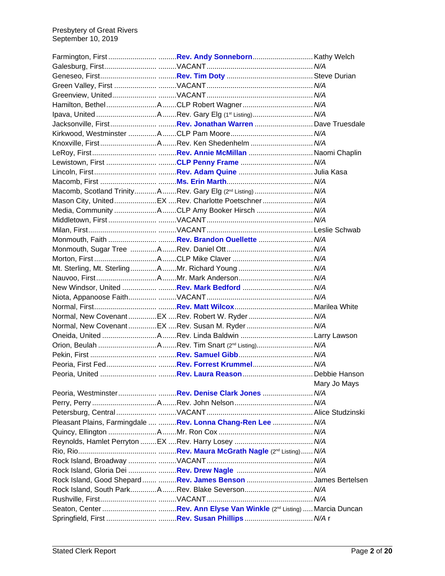|  | Jacksonville, FirstRev. Jonathan Warren  Dave Truesdale               |              |
|--|-----------------------------------------------------------------------|--------------|
|  |                                                                       |              |
|  |                                                                       |              |
|  |                                                                       |              |
|  |                                                                       |              |
|  |                                                                       |              |
|  |                                                                       |              |
|  | Macomb, Scotland TrinityARev. Gary Elg (2 <sup>nd</sup> Listing)  N/A |              |
|  | Mason City, UnitedEX Rev. Charlotte Poetschner N/A                    |              |
|  | Media, Community ACLP Amy Booker Hirsch  N/A                          |              |
|  |                                                                       |              |
|  |                                                                       |              |
|  |                                                                       |              |
|  |                                                                       |              |
|  |                                                                       |              |
|  | Mt. Sterling, Mt. SterlingAMr. Richard Young  N/A                     |              |
|  |                                                                       |              |
|  |                                                                       |              |
|  |                                                                       |              |
|  |                                                                       |              |
|  | Normal, New Covenant EX Rev. Robert W. Ryder  N/A                     |              |
|  | Normal, New CovenantEX Rev. Susan M. Ryder  N/A                       |              |
|  |                                                                       |              |
|  |                                                                       |              |
|  |                                                                       |              |
|  |                                                                       |              |
|  |                                                                       |              |
|  |                                                                       | Mary Jo Mays |
|  |                                                                       |              |
|  |                                                                       |              |
|  |                                                                       |              |
|  | Pleasant Plains, Farmingdale   Rev. Lonna Chang-Ren Lee  N/A          |              |
|  |                                                                       |              |
|  |                                                                       |              |
|  |                                                                       |              |
|  |                                                                       |              |
|  |                                                                       |              |
|  | Rock Island, Good Shepard  Rev. James Benson James Bertelsen          |              |
|  | Rock Island, South ParkARev. Blake Severson N/A                       |              |
|  |                                                                       |              |
|  |                                                                       |              |
|  |                                                                       |              |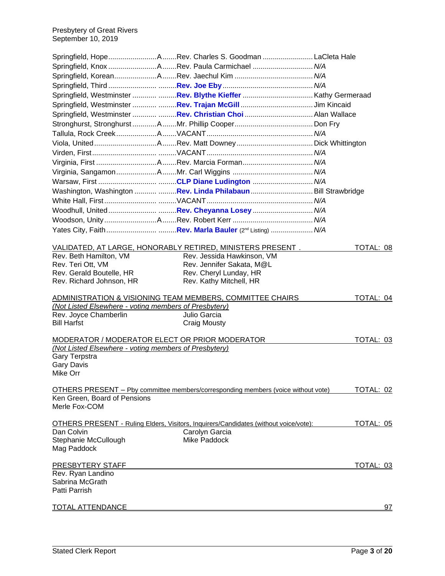Presbytery of Great Rivers September 10, 2019

|                                                       | Springfield, HopeARev. Charles S. Goodman LaCleta Hale                                      |           |
|-------------------------------------------------------|---------------------------------------------------------------------------------------------|-----------|
|                                                       |                                                                                             |           |
|                                                       |                                                                                             |           |
|                                                       |                                                                                             |           |
|                                                       |                                                                                             |           |
|                                                       |                                                                                             |           |
|                                                       | Springfield, Westminster  Rev. Christian Choi  Alan Wallace                                 |           |
|                                                       |                                                                                             |           |
|                                                       |                                                                                             |           |
|                                                       |                                                                                             |           |
|                                                       |                                                                                             |           |
|                                                       |                                                                                             |           |
|                                                       |                                                                                             |           |
|                                                       |                                                                                             |           |
|                                                       | Washington, Washington  Rev. Linda Philabaun  Bill Strawbridge                              |           |
|                                                       |                                                                                             |           |
|                                                       | Woodhull, United……………………………Rev. Cheyanna Losey…………………………                      M/A           |           |
|                                                       |                                                                                             |           |
|                                                       |                                                                                             |           |
|                                                       | <u>VALIDATED, AT LARGE, HONORABLY RETIRED, MINISTERS PRESENT .</u>                          | TOTAL: 08 |
| Rev. Beth Hamilton, VM                                | Rev. Jessida Hawkinson, VM                                                                  |           |
| Rev. Teri Ott, VM                                     | Rev. Jennifer Sakata, M@L                                                                   |           |
| Rev. Gerald Boutelle, HR                              | Rev. Cheryl Lunday, HR                                                                      |           |
| Rev. Richard Johnson, HR                              | Rev. Kathy Mitchell, HR                                                                     |           |
|                                                       | ADMINISTRATION & VISIONING TEAM MEMBERS, COMMITTEE CHAIRS                                   | TOTAL: 04 |
| (Not Listed Elsewhere - voting members of Presbytery) |                                                                                             |           |
| Rev. Joyce Chamberlin                                 | Julio Garcia                                                                                |           |
| <b>Bill Harfst</b>                                    | <b>Craig Mousty</b>                                                                         |           |
|                                                       | MODERATOR / MODERATOR ELECT OR PRIOR MODERATOR                                              | TOTAL: 03 |
| (Not Listed Elsewhere - voting members of Presbytery) |                                                                                             |           |
| Gary Terpstra                                         |                                                                                             |           |
| <b>Gary Davis</b><br>Mike Orr                         |                                                                                             |           |
|                                                       |                                                                                             |           |
| Ken Green, Board of Pensions                          | OTHERS PRESENT - Pby committee members/corresponding members (voice without vote)           | TOTAL: 02 |
| Merle Fox-COM                                         |                                                                                             |           |
|                                                       | <b>OTHERS PRESENT - Ruling Elders, Visitors, Inquirers/Candidates (without voice/vote):</b> | TOTAL: 05 |
| Dan Colvin                                            | Carolyn Garcia                                                                              |           |
| Stephanie McCullough                                  | Mike Paddock                                                                                |           |
| Mag Paddock                                           |                                                                                             |           |
| PRESBYTERY STAFF                                      |                                                                                             | TOTAL: 03 |
| Rev. Ryan Landino                                     |                                                                                             |           |
| Sabrina McGrath                                       |                                                                                             |           |
| Patti Parrish                                         |                                                                                             |           |
| <u>TOTAL ATTENDANCE</u>                               |                                                                                             | 97        |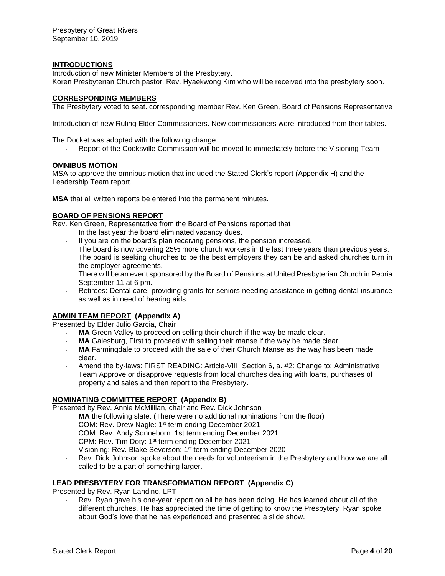### **INTRODUCTIONS**

Introduction of new Minister Members of the Presbytery. Koren Presbyterian Church pastor, Rev. Hyaekwong Kim who will be received into the presbytery soon.

#### **CORRESPONDING MEMBERS**

The Presbytery voted to seat. corresponding member Rev. Ken Green, Board of Pensions Representative

Introduction of new Ruling Elder Commissioners. New commissioners were introduced from their tables.

The Docket was adopted with the following change:

Report of the Cooksville Commission will be moved to immediately before the Visioning Team

#### **OMNIBUS MOTION**

MSA to approve the omnibus motion that included the Stated Clerk's report (Appendix H) and the Leadership Team report.

**MSA** that all written reports be entered into the permanent minutes.

#### **BOARD OF PENSIONS REPORT**

Rev. Ken Green, Representative from the Board of Pensions reported that

- In the last year the board eliminated vacancy dues.
- If you are on the board's plan receiving pensions, the pension increased.
- The board is now covering 25% more church workers in the last three years than previous years.
- The board is seeking churches to be the best employers they can be and asked churches turn in the employer agreements.
- There will be an event sponsored by the Board of Pensions at United Presbyterian Church in Peoria September 11 at 6 pm.
- Retirees: Dental care: providing grants for seniors needing assistance in getting dental insurance as well as in need of hearing aids.

# **ADMIN TEAM REPORT (Appendix A)**

Presented by Elder Julio Garcia, Chair

- MA Green Valley to proceed on selling their church if the way be made clear.
- MA Galesburg, First to proceed with selling their manse if the way be made clear.
- MA Farmingdale to proceed with the sale of their Church Manse as the way has been made clear.
- Amend the by-laws: FIRST READING: Article-VIII, Section 6, a. #2: Change to: Administrative Team Approve or disapprove requests from local churches dealing with loans, purchases of property and sales and then report to the Presbytery.

#### **NOMINATING COMMITTEE REPORT (Appendix B)**

Presented by Rev. Annie McMillian, chair and Rev. Dick Johnson

MA the following slate: (There were no additional nominations from the floor) COM: Rev. Drew Nagle: 1<sup>st</sup> term ending December 2021

COM: Rev. Andy Sonneborn: 1st term ending December 2021

CPM: Rev. Tim Doty: 1<sup>st</sup> term ending December 2021

Visioning: Rev. Blake Severson: 1<sup>st</sup> term ending December 2020

- Rev. Dick Johnson spoke about the needs for volunteerism in the Presbytery and how we are all called to be a part of something larger.

# **LEAD PRESBYTERY FOR TRANSFORMATION REPORT (Appendix C)**

Presented by Rev. Ryan Landino, LPT

Rev. Ryan gave his one-year report on all he has been doing. He has learned about all of the different churches. He has appreciated the time of getting to know the Presbytery. Ryan spoke about God's love that he has experienced and presented a slide show.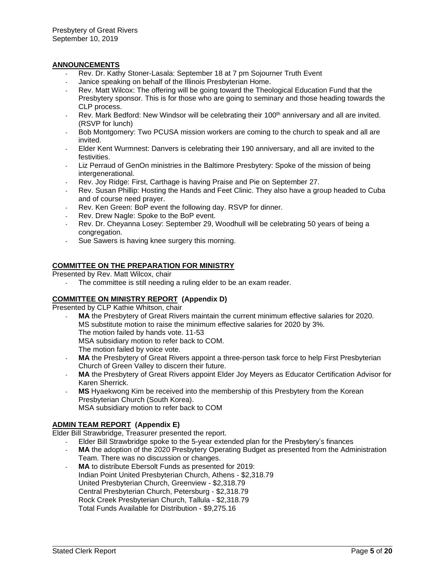### **ANNOUNCEMENTS**

- Rev. Dr. Kathy Stoner-Lasala: September 18 at 7 pm Sojourner Truth Event
- Janice speaking on behalf of the Illinois Presbyterian Home.
- Rev. Matt Wilcox: The offering will be going toward the Theological Education Fund that the Presbytery sponsor. This is for those who are going to seminary and those heading towards the CLP process.
- Rev. Mark Bedford: New Windsor will be celebrating their 100<sup>th</sup> anniversary and all are invited. (RSVP for lunch)
- Bob Montgomery: Two PCUSA mission workers are coming to the church to speak and all are invited.
- Elder Kent Wurmnest: Danvers is celebrating their 190 anniversary, and all are invited to the festivities.
- Liz Perraud of GenOn ministries in the Baltimore Presbytery: Spoke of the mission of being intergenerational.
- Rev. Joy Ridge: First, Carthage is having Praise and Pie on September 27.
- Rev. Susan Phillip: Hosting the Hands and Feet Clinic. They also have a group headed to Cuba and of course need prayer.
- Rev. Ken Green: BoP event the following day. RSVP for dinner.
- Rev. Drew Nagle: Spoke to the BoP event.
- Rev. Dr. Cheyanna Losey: September 29, Woodhull will be celebrating 50 years of being a congregation.
- Sue Sawers is having knee surgery this morning.

# **COMMITTEE ON THE PREPARATION FOR MINISTRY**

Presented by Rev. Matt Wilcox, chair

The committee is still needing a ruling elder to be an exam reader.

#### **COMMITTEE ON MINISTRY REPORT (Appendix D)**

Presented by CLP Kathie Whitson, chair

- MA the Presbytery of Great Rivers maintain the current minimum effective salaries for 2020. MS substitute motion to raise the minimum effective salaries for 2020 by 3%. The motion failed by hands vote. 11-53 MSA subsidiary motion to refer back to COM. The motion failed by voice vote.
- **MA** the Presbytery of Great Rivers appoint a three-person task force to help First Presbyterian Church of Green Valley to discern their future.
- MA the Presbytery of Great Rivers appoint Elder Joy Meyers as Educator Certification Advisor for Karen Sherrick.
- MS Hyaekwong Kim be received into the membership of this Presbytery from the Korean Presbyterian Church (South Korea). MSA subsidiary motion to refer back to COM

**ADMIN TEAM REPORT (Appendix E)** Elder Bill Strawbridge, Treasurer presented the report.

- Elder Bill Strawbridge spoke to the 5-year extended plan for the Presbytery's finances

- MA the adoption of the 2020 Presbytery Operating Budget as presented from the Administration Team. There was no discussion or changes.
- **MA** to distribute Ebersolt Funds as presented for 2019: Indian Point United Presbyterian Church, Athens - \$2,318.79 United Presbyterian Church, Greenview - \$2,318.79 Central Presbyterian Church, Petersburg - \$2,318.79 Rock Creek Presbyterian Church, Tallula - \$2,318.79 Total Funds Available for Distribution - \$9,275.16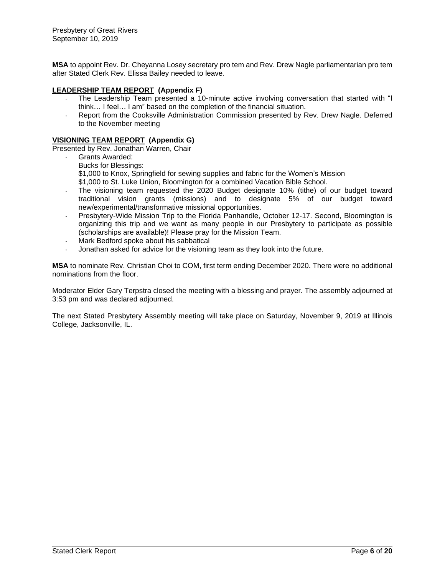**MSA** to appoint Rev. Dr. Cheyanna Losey secretary pro tem and Rev. Drew Nagle parliamentarian pro tem after Stated Clerk Rev. Elissa Bailey needed to leave.

# **LEADERSHIP TEAM REPORT (Appendix F)**

- The Leadership Team presented a 10-minute active involving conversation that started with "I think… I feel… I am" based on the completion of the financial situation.
- Report from the Cooksville Administration Commission presented by Rev. Drew Nagle. Deferred to the November meeting

#### **VISIONING TEAM REPORT (Appendix G)**

Presented by Rev. Jonathan Warren, Chair

- Grants Awarded:
	- Bucks for Blessings:
	- \$1,000 to Knox, Springfield for sewing supplies and fabric for the Women's Mission
	- \$1,000 to St. Luke Union, Bloomington for a combined Vacation Bible School.
- The visioning team requested the 2020 Budget designate 10% (tithe) of our budget toward traditional vision grants (missions) and to designate 5% of our budget toward new/experimental/transformative missional opportunities.
- Presbytery-Wide Mission Trip to the Florida Panhandle, October 12-17. Second, Bloomington is organizing this trip and we want as many people in our Presbytery to participate as possible (scholarships are available)! Please pray for the Mission Team.
- Mark Bedford spoke about his sabbatical
- Jonathan asked for advice for the visioning team as they look into the future.

**MSA** to nominate Rev. Christian Choi to COM, first term ending December 2020. There were no additional nominations from the floor.

Moderator Elder Gary Terpstra closed the meeting with a blessing and prayer. The assembly adjourned at 3:53 pm and was declared adjourned.

The next Stated Presbytery Assembly meeting will take place on Saturday, November 9, 2019 at Illinois College, Jacksonville, IL.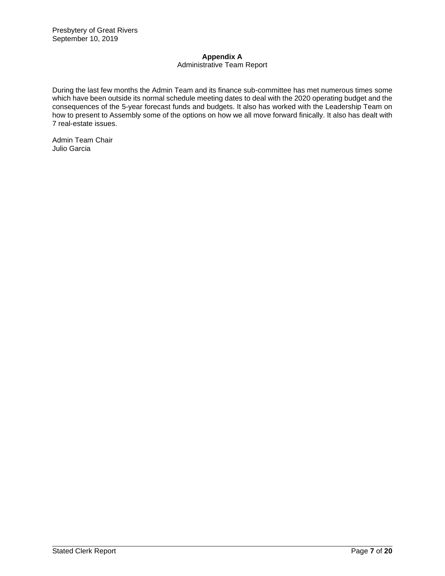# **Appendix A**

# Administrative Team Report

During the last few months the Admin Team and its finance sub-committee has met numerous times some which have been outside its normal schedule meeting dates to deal with the 2020 operating budget and the consequences of the 5-year forecast funds and budgets. It also has worked with the Leadership Team on how to present to Assembly some of the options on how we all move forward finically. It also has dealt with 7 real-estate issues.

Admin Team Chair Julio Garcia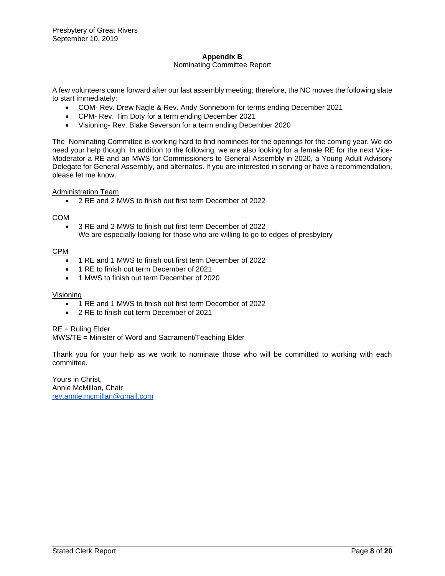# **Appendix B**

#### Nominating Committee Report

A few volunteers came forward after our last assembly meeting; therefore, the NC moves the following slate to start immediately:

- COM- Rev. Drew Nagle & Rev. Andy Sonneborn for terms ending December 2021
- CPM- Rev. Tim Doty for a term ending December 2021
- Visioning- Rev. Blake Severson for a term ending December 2020

The Nominating Committee is working hard to find nominees for the openings for the coming year. We do need your help though. In addition to the following, we are also looking for a female RE for the next Vice-Moderator a RE and an MWS for Commissioners to General Assembly in 2020, a Young Adult Advisory Delegate for General Assembly, and alternates. If you are interested in serving or have a recommendation, please let me know.

Administration Team

• 2 RE and 2 MWS to finish out first term December of 2022

#### COM

• 3 RE and 2 MWS to finish out first term December of 2022 We are especially looking for those who are willing to go to edges of presbytery

#### CPM

- 1 RE and 1 MWS to finish out first term December of 2022
- 1 RE to finish out term December of 2021
- 1 MWS to finish out term December of 2020

#### Visioning

- 1 RE and 1 MWS to finish out first term December of 2022
- 2 RE to finish out term December of 2021

RE = Ruling Elder

MWS/TE = Minister of Word and Sacrament/Teaching Elder

Thank you for your help as we work to nominate those who will be committed to working with each committee.

Yours in Christ, Annie McMillan, Chair [rev.annie.mcmillan@gmail.com](mailto:rev.annie.mcmillan@gmail.com)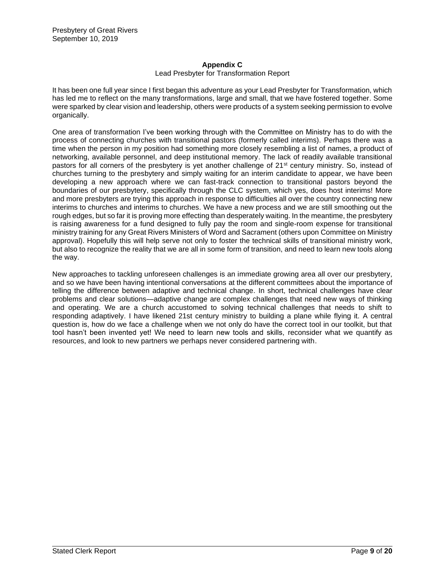# **Appendix C**

# Lead Presbyter for Transformation Report

It has been one full year since I first began this adventure as your Lead Presbyter for Transformation, which has led me to reflect on the many transformations, large and small, that we have fostered together. Some were sparked by clear vision and leadership, others were products of a system seeking permission to evolve organically.

One area of transformation I've been working through with the Committee on Ministry has to do with the process of connecting churches with transitional pastors (formerly called interims). Perhaps there was a time when the person in my position had something more closely resembling a list of names, a product of networking, available personnel, and deep institutional memory. The lack of readily available transitional pastors for all corners of the presbytery is yet another challenge of 21<sup>st</sup> century ministry. So, instead of churches turning to the presbytery and simply waiting for an interim candidate to appear, we have been developing a new approach where we can fast-track connection to transitional pastors beyond the boundaries of our presbytery, specifically through the CLC system, which yes, does host interims! More and more presbyters are trying this approach in response to difficulties all over the country connecting new interims to churches and interims to churches. We have a new process and we are still smoothing out the rough edges, but so far it is proving more effecting than desperately waiting. In the meantime, the presbytery is raising awareness for a fund designed to fully pay the room and single-room expense for transitional ministry training for any Great Rivers Ministers of Word and Sacrament (others upon Committee on Ministry approval). Hopefully this will help serve not only to foster the technical skills of transitional ministry work, but also to recognize the reality that we are all in some form of transition, and need to learn new tools along the way.

New approaches to tackling unforeseen challenges is an immediate growing area all over our presbytery, and so we have been having intentional conversations at the different committees about the importance of telling the difference between adaptive and technical change. In short, technical challenges have clear problems and clear solutions—adaptive change are complex challenges that need new ways of thinking and operating. We are a church accustomed to solving technical challenges that needs to shift to responding adaptively. I have likened 21st century ministry to building a plane while flying it. A central question is, how do we face a challenge when we not only do have the correct tool in our toolkit, but that tool hasn't been invented yet! We need to learn new tools and skills, reconsider what we quantify as resources, and look to new partners we perhaps never considered partnering with.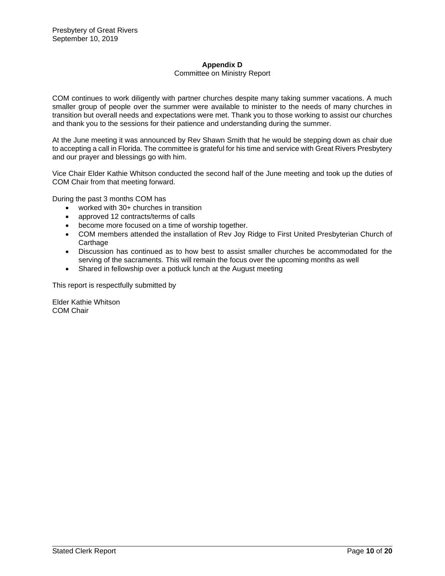# **Appendix D**

#### Committee on Ministry Report

COM continues to work diligently with partner churches despite many taking summer vacations. A much smaller group of people over the summer were available to minister to the needs of many churches in transition but overall needs and expectations were met. Thank you to those working to assist our churches and thank you to the sessions for their patience and understanding during the summer.

At the June meeting it was announced by Rev Shawn Smith that he would be stepping down as chair due to accepting a call in Florida. The committee is grateful for his time and service with Great Rivers Presbytery and our prayer and blessings go with him.

Vice Chair Elder Kathie Whitson conducted the second half of the June meeting and took up the duties of COM Chair from that meeting forward.

During the past 3 months COM has

- worked with 30+ churches in transition
- approved 12 contracts/terms of calls
- become more focused on a time of worship together.
- COM members attended the installation of Rev Joy Ridge to First United Presbyterian Church of **Carthage**
- Discussion has continued as to how best to assist smaller churches be accommodated for the serving of the sacraments. This will remain the focus over the upcoming months as well
- Shared in fellowship over a potluck lunch at the August meeting

This report is respectfully submitted by

Elder Kathie Whitson COM Chair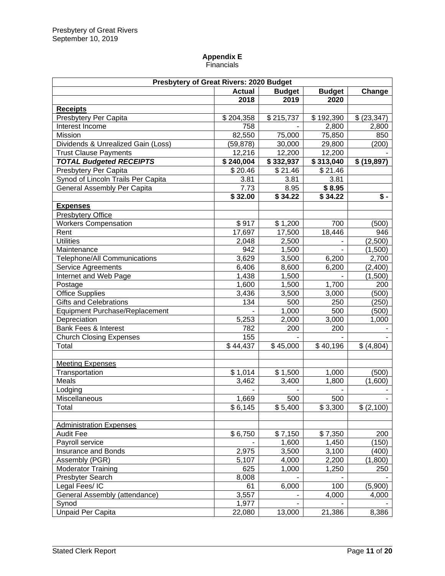# **Appendix E** Financials

| Presbytery of Great Rivers: 2020 Budget |               |                 |                   |                      |  |  |
|-----------------------------------------|---------------|-----------------|-------------------|----------------------|--|--|
|                                         | <b>Actual</b> | <b>Budget</b>   | <b>Budget</b>     | Change               |  |  |
|                                         | 2018          | 2019            | 2020              |                      |  |  |
| <b>Receipts</b>                         |               |                 |                   |                      |  |  |
| Presbytery Per Capita                   | \$204,358     | \$215,737       | \$192,390         | \$ (23, 347)         |  |  |
| Interest Income                         | 758           |                 | 2,800             | 2,800                |  |  |
| Mission                                 | 82,550        | 75,000          | 75,850            | 850                  |  |  |
| Dividends & Unrealized Gain (Loss)      | (59, 878)     | 30,000          | 29,800            | (200)                |  |  |
| <b>Trust Clause Payments</b>            | 12,216        | 12,200          | 12,200            |                      |  |  |
| <b>TOTAL Budgeted RECEIPTS</b>          | \$240,004     | \$332,937       | \$313,040         | \$ (19,897)          |  |  |
| Presbytery Per Capita                   | \$20.46       | \$21.46         | \$21.46           |                      |  |  |
| Synod of Lincoln Trails Per Capita      | 3.81          | 3.81            | 3.81              |                      |  |  |
| General Assembly Per Capita             | 7.73          | 8.95            | $\frac{1}{$}8.95$ |                      |  |  |
|                                         | \$32.00       | $\sqrt{$34.22}$ | $\sqrt{34.22}$    | $\overline{\bullet}$ |  |  |
| <b>Expenses</b>                         |               |                 |                   |                      |  |  |
| <b>Presbytery Office</b>                |               |                 |                   |                      |  |  |
| <b>Workers Compensation</b>             | \$917         | \$1,200         | 700               | (500)                |  |  |
| Rent                                    | 17,697        | 17,500          | 18,446            | 946                  |  |  |
| <b>Utilities</b>                        | 2,048         | 2,500           |                   | (2,500)              |  |  |
| Maintenance                             | 942           | 1,500           |                   | (1,500)              |  |  |
| Telephone/All Communications            | 3,629         | 3,500           | 6,200             | 2,700                |  |  |
| <b>Service Agreements</b>               | 6,406         | 8,600           | 6,200             | (2,400)              |  |  |
| Internet and Web Page                   | 1,438         | 1,500           |                   | (1,500)              |  |  |
| Postage                                 | 1,600         | 1,500           | 1,700             | 200                  |  |  |
| <b>Office Supplies</b>                  | 3,436         | 3,500           | 3,000             | (500)                |  |  |
| Gifts and Celebrations                  | 134           | 500             | 250               | (250)                |  |  |
| Equipment Purchase/Replacement          |               | 1,000           | 500               | (500)                |  |  |
| Depreciation                            | 5,253         | 2,000           | 3,000             | 1,000                |  |  |
| <b>Bank Fees &amp; Interest</b>         | 782           | 200             | 200               |                      |  |  |
| <b>Church Closing Expenses</b>          | 155           |                 |                   |                      |  |  |
| Total                                   | \$44,437      | \$45,000        | \$40,196          | \$ (4,804)           |  |  |
|                                         |               |                 |                   |                      |  |  |
| <b>Meeting Expenses</b>                 |               |                 |                   |                      |  |  |
| Transportation                          | \$1,014       | \$1,500         | 1,000             | (500)                |  |  |
| Meals                                   | 3,462         | 3,400           | 1,800             | (1,600)              |  |  |
| Lodging                                 |               |                 |                   |                      |  |  |
| Miscellaneous                           | 1,669         | 500             | 500               |                      |  |  |
| Total                                   | \$6,145       | \$5,400         | \$3,300           | \$ (2,100)           |  |  |
|                                         |               |                 |                   |                      |  |  |
| <b>Administration Expenses</b>          |               |                 |                   |                      |  |  |
| <b>Audit Fee</b>                        | \$6,750       | \$7,150         | \$7,350           | 200                  |  |  |
| Payroll service                         |               | 1,600           | 1,450             | (150)                |  |  |
| Insurance and Bonds                     | 2,975         | 3,500           | 3,100             | (400)                |  |  |
| Assembly (PGR)                          | 5,107         | 4,000           | 2,200             | (1,800)              |  |  |
| <b>Moderator Training</b>               | 625           | 1,000           | 1,250             | 250                  |  |  |
| Presbyter Search                        | 8,008         |                 |                   |                      |  |  |
| Legal Fees/IC                           | 61            | 6,000           | 100               | (5,900)              |  |  |
| General Assembly (attendance)           | 3,557         |                 | 4,000             | 4,000                |  |  |
| Synod                                   | 1,977         |                 |                   |                      |  |  |
| <b>Unpaid Per Capita</b>                | 22,080        | 13,000          | 21,386            | 8,386                |  |  |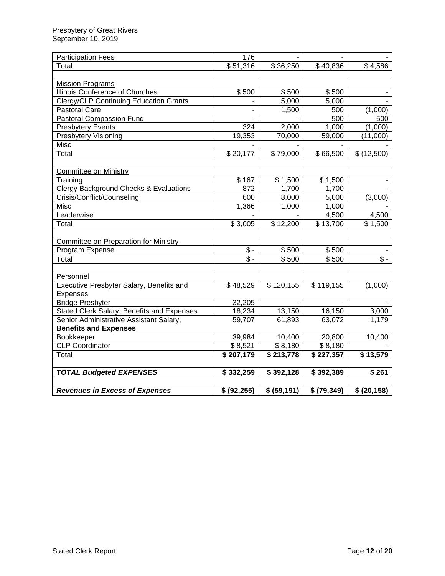| <b>Participation Fees</b>                         | 176                        |              |                |                   |
|---------------------------------------------------|----------------------------|--------------|----------------|-------------------|
| Total                                             | \$51,316                   | \$36,250     | \$40,836       | \$4,586           |
|                                                   |                            |              |                |                   |
| <b>Mission Programs</b>                           |                            |              |                |                   |
| Illinois Conference of Churches                   | \$500                      | \$500        | \$500          |                   |
| <b>Clergy/CLP Continuing Education Grants</b>     |                            | 5,000        | 5,000          |                   |
| <b>Pastoral Care</b>                              |                            | 1,500        | 500            | (1,000)           |
| Pastoral Compassion Fund                          | $\overline{a}$             |              | 500            | 500               |
| <b>Presbytery Events</b>                          | 324                        | 2,000        | 1,000          | (1,000)           |
| <b>Presbytery Visioning</b>                       | 19,353                     | 70,000       | 59,000         | (11,000)          |
| Misc                                              |                            |              |                |                   |
| Total                                             | \$20,177                   | \$79,000     | \$66,500       | \$(12,500)        |
|                                                   |                            |              |                |                   |
| <b>Committee on Ministry</b>                      |                            |              |                |                   |
| Training                                          | \$167                      | \$1,500      | \$1,500        |                   |
| <b>Clergy Background Checks &amp; Evaluations</b> | 872                        | 1,700        | 1,700          |                   |
| Crisis/Conflict/Counseling                        | 600                        | 8,000        | 5,000          | (3,000)           |
| Misc                                              | 1,366                      | 1,000        | 1,000          |                   |
| Leaderwise                                        |                            |              | 4,500          | 4,500             |
| Total                                             | \$3,005                    | \$12,200     | \$13,700       | \$1,500           |
|                                                   |                            |              |                |                   |
| Committee on Preparation for Ministry             |                            |              |                |                   |
| Program Expense                                   | $\sqrt[6]{\cdot}$          | \$500        | \$500          |                   |
| Total                                             | $\overline{\mathcal{S}}$ - | \$500        | \$500          | $\sqrt[6]{\cdot}$ |
|                                                   |                            |              |                |                   |
| Personnel                                         |                            |              |                |                   |
| Executive Presbyter Salary, Benefits and          | \$48,529                   | \$120,155    | \$119,155      | (1,000)           |
| Expenses                                          |                            |              |                |                   |
| <b>Bridge Presbyter</b>                           | 32,205                     |              | $\blacksquare$ |                   |
| Stated Clerk Salary, Benefits and Expenses        | 18,234                     | 13,150       | 16,150         | 3,000             |
| Senior Administrative Assistant Salary,           | 59,707                     | 61,893       | 63,072         | 1,179             |
| <b>Benefits and Expenses</b>                      |                            |              |                |                   |
| Bookkeeper                                        | 39,984                     | 10,400       | 20,800         | 10,400            |
| <b>CLP Coordinator</b>                            | \$8,521                    | \$8,180      | \$8,180        |                   |
| Total                                             | \$207,179                  | \$213,778    | \$227,357      | \$13,579          |
|                                                   |                            |              |                |                   |
| <b>TOTAL Budgeted EXPENSES</b>                    | \$332,259                  | \$392,128    | \$392,389      | $\bar{\$}$ 261    |
|                                                   |                            |              |                |                   |
| <b>Revenues in Excess of Expenses</b>             | \$ (92, 255)               | \$ (59, 191) | \$ (79, 349)   | \$ (20, 158)      |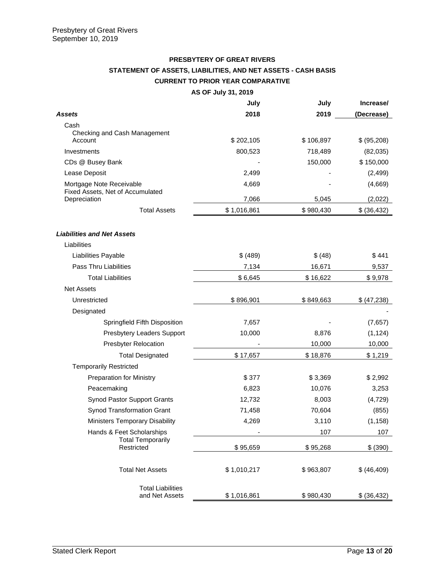# **PRESBYTERY OF GREAT RIVERS STATEMENT OF ASSETS, LIABILITIES, AND NET ASSETS - CASH BASIS CURRENT TO PRIOR YEAR COMPARATIVE**

**AS OF July 31, 2019**

|                                                  | July        | July      | Increase/    |
|--------------------------------------------------|-------------|-----------|--------------|
| Assets                                           | 2018        | 2019      | (Decrease)   |
| Cash                                             |             |           |              |
| Checking and Cash Management<br>Account          | \$202,105   | \$106,897 | \$ (95,208)  |
| Investments                                      | 800,523     | 718,489   | (82,035)     |
| CDs @ Busey Bank                                 |             | 150,000   | \$150,000    |
| Lease Deposit                                    | 2,499       |           | (2, 499)     |
| Mortgage Note Receivable                         | 4,669       |           | (4,669)      |
| Fixed Assets, Net of Accumulated<br>Depreciation | 7,066       | 5,045     | (2,022)      |
| <b>Total Assets</b>                              | \$1,016,861 | \$980,430 | \$ (36, 432) |
| <b>Liabilities and Net Assets</b>                |             |           |              |
| Liabilities                                      |             |           |              |
| Liabilities Payable                              | \$ (489)    | \$ (48)   | \$441        |
| <b>Pass Thru Liabilities</b>                     | 7,134       | 16,671    | 9,537        |
| <b>Total Liabilities</b>                         | \$6,645     | \$16,622  | \$9,978      |
| <b>Net Assets</b>                                |             |           |              |
| Unrestricted                                     | \$896,901   | \$849,663 | \$ (47,238)  |
| Designated                                       |             |           |              |
| Springfield Fifth Disposition                    | 7,657       |           | (7,657)      |
| Presbytery Leaders Support                       | 10,000      | 8,876     | (1, 124)     |
| <b>Presbyter Relocation</b>                      |             | 10,000    | 10,000       |
| <b>Total Designated</b>                          | \$17,657    | \$18,876  | \$1,219      |
| <b>Temporarily Restricted</b>                    |             |           |              |
| <b>Preparation for Ministry</b>                  | \$377       | \$3,369   | \$2,992      |
| Peacemaking                                      | 6,823       | 10,076    | 3,253        |
| <b>Synod Pastor Support Grants</b>               | 12,732      | 8,003     | (4, 729)     |
| Synod Transformation Grant                       | 71,458      | 70,604    | (855)        |
| <b>Ministers Temporary Disability</b>            | 4,269       | 3,110     | (1, 158)     |
| Hands & Feet Scholarships                        |             | 107       | 107          |
| <b>Total Temporarily</b><br>Restricted           | \$95,659    | \$95,268  | \$ (390)     |
| <b>Total Net Assets</b>                          | \$1,010,217 | \$963,807 | \$ (46, 409) |
| <b>Total Liabilities</b><br>and Net Assets       | \$1,016,861 | \$980,430 | \$ (36, 432) |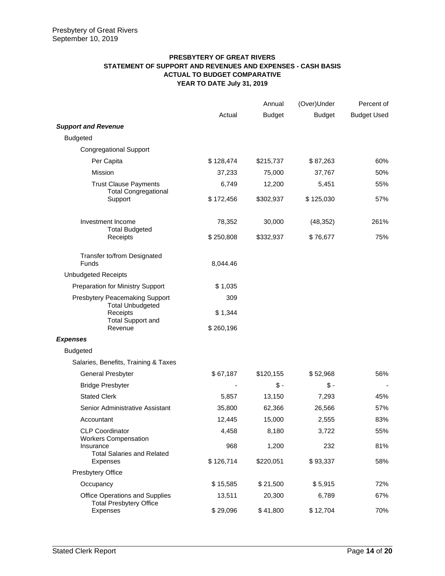# **PRESBYTERY OF GREAT RIVERS STATEMENT OF SUPPORT AND REVENUES AND EXPENSES - CASH BASIS ACTUAL TO BUDGET COMPARATIVE YEAR TO DATE July 31, 2019**

|                                                                              |                | Annual        | (Over)Under   | Percent of         |
|------------------------------------------------------------------------------|----------------|---------------|---------------|--------------------|
|                                                                              | Actual         | <b>Budget</b> | <b>Budget</b> | <b>Budget Used</b> |
| <b>Support and Revenue</b>                                                   |                |               |               |                    |
| <b>Budgeted</b>                                                              |                |               |               |                    |
| <b>Congregational Support</b>                                                |                |               |               |                    |
| Per Capita                                                                   | \$128,474      | \$215,737     | \$87,263      | 60%                |
| <b>Mission</b>                                                               | 37,233         | 75,000        | 37,767        | 50%                |
| <b>Trust Clause Payments</b>                                                 | 6,749          | 12,200        | 5,451         | 55%                |
| <b>Total Congregational</b><br>Support                                       | \$172,456      | \$302,937     | \$125,030     | 57%                |
| Investment Income<br><b>Total Budgeted</b>                                   | 78,352         | 30,000        | (48, 352)     | 261%               |
| Receipts                                                                     | \$250,808      | \$332,937     | \$76,677      | 75%                |
| Transfer to/from Designated<br>Funds                                         | 8,044.46       |               |               |                    |
| <b>Unbudgeted Receipts</b>                                                   |                |               |               |                    |
| <b>Preparation for Ministry Support</b>                                      | \$1,035        |               |               |                    |
| <b>Presbytery Peacemaking Support</b><br><b>Total Unbudgeted</b><br>Receipts | 309<br>\$1,344 |               |               |                    |
| <b>Total Support and</b><br>Revenue                                          | \$260,196      |               |               |                    |
| <b>Expenses</b>                                                              |                |               |               |                    |
| <b>Budgeted</b>                                                              |                |               |               |                    |
| Salaries, Benefits, Training & Taxes                                         |                |               |               |                    |
| General Presbyter                                                            | \$67,187       | \$120,155     | \$52,968      | 56%                |
| <b>Bridge Presbyter</b>                                                      |                | $$ -$         | $$ -$         |                    |
| <b>Stated Clerk</b>                                                          | 5,857          | 13,150        | 7,293         | 45%                |
| Senior Administrative Assistant                                              | 35,800         | 62,366        | 26,566        | 57%                |
| Accountant                                                                   | 12,445         | 15,000        | 2,555         | 83%                |
| <b>CLP Coordinator</b><br><b>Workers Compensation</b>                        | 4,458          | 8,180         | 3,722         | 55%                |
| Insurance<br><b>Total Salaries and Related</b>                               | 968            | 1,200         | 232           | 81%                |
| Expenses                                                                     | \$126,714      | \$220,051     | \$93,337      | 58%                |
| Presbytery Office                                                            |                |               |               |                    |
| Occupancy                                                                    | \$15,585       | \$21,500      | \$5,915       | 72%                |
| <b>Office Operations and Supplies</b><br><b>Total Presbytery Office</b>      | 13,511         | 20,300        | 6,789         | 67%                |
| Expenses                                                                     | \$29,096       | \$41,800      | \$12,704      | 70%                |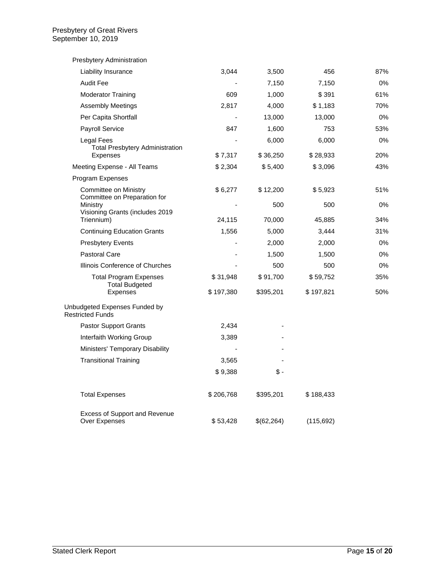| Presbytery Administration                                    |           |            |            |     |
|--------------------------------------------------------------|-----------|------------|------------|-----|
| Liability Insurance                                          | 3,044     | 3,500      | 456        | 87% |
| <b>Audit Fee</b>                                             |           | 7,150      | 7,150      | 0%  |
| <b>Moderator Training</b>                                    | 609       | 1,000      | \$391      | 61% |
| <b>Assembly Meetings</b>                                     | 2,817     | 4,000      | \$1,183    | 70% |
| Per Capita Shortfall                                         |           | 13,000     | 13,000     | 0%  |
| Payroll Service                                              | 847       | 1,600      | 753        | 53% |
| Legal Fees<br><b>Total Presbytery Administration</b>         |           | 6,000      | 6,000      | 0%  |
| Expenses                                                     | \$7,317   | \$36,250   | \$28,933   | 20% |
| Meeting Expense - All Teams                                  | \$2,304   | \$5,400    | \$3,096    | 43% |
| Program Expenses                                             |           |            |            |     |
| <b>Committee on Ministry</b><br>Committee on Preparation for | \$6,277   | \$12,200   | \$5,923    | 51% |
| Ministry                                                     |           | 500        | 500        | 0%  |
| Visioning Grants (includes 2019<br>Triennium)                | 24,115    | 70,000     | 45,885     | 34% |
| <b>Continuing Education Grants</b>                           | 1,556     | 5,000      | 3,444      | 31% |
| <b>Presbytery Events</b>                                     |           | 2,000      | 2,000      | 0%  |
| <b>Pastoral Care</b>                                         |           | 1,500      | 1,500      | 0%  |
| Illinois Conference of Churches                              |           | 500        | 500        | 0%  |
| Total Program Expenses<br><b>Total Budgeted</b>              | \$31,948  | \$91,700   | \$59,752   | 35% |
| <b>Expenses</b>                                              | \$197,380 | \$395,201  | \$197,821  | 50% |
| Unbudgeted Expenses Funded by<br><b>Restricted Funds</b>     |           |            |            |     |
| Pastor Support Grants                                        | 2,434     |            |            |     |
| Interfaith Working Group                                     | 3,389     |            |            |     |
| Ministers' Temporary Disability                              |           |            |            |     |
| <b>Transitional Training</b>                                 | 3,565     |            |            |     |
|                                                              | \$9,388   | \$-        |            |     |
| <b>Total Expenses</b>                                        | \$206,768 | \$395,201  | \$188,433  |     |
| <b>Excess of Support and Revenue</b><br>Over Expenses        | \$53,428  | \$(62,264) | (115, 692) |     |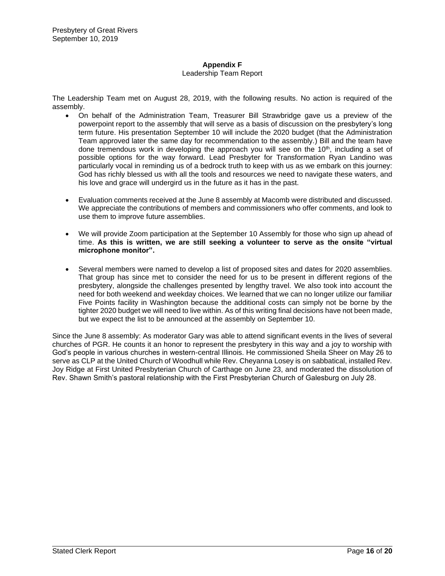#### **Appendix F** Leadership Team Report

The Leadership Team met on August 28, 2019, with the following results. No action is required of the assembly.

- On behalf of the Administration Team, Treasurer Bill Strawbridge gave us a preview of the powerpoint report to the assembly that will serve as a basis of discussion on the presbytery's long term future. His presentation September 10 will include the 2020 budget (that the Administration Team approved later the same day for recommendation to the assembly.) Bill and the team have done tremendous work in developing the approach you will see on the 10<sup>th</sup>, including a set of possible options for the way forward. Lead Presbyter for Transformation Ryan Landino was particularly vocal in reminding us of a bedrock truth to keep with us as we embark on this journey: God has richly blessed us with all the tools and resources we need to navigate these waters, and his love and grace will undergird us in the future as it has in the past.
- Evaluation comments received at the June 8 assembly at Macomb were distributed and discussed. We appreciate the contributions of members and commissioners who offer comments, and look to use them to improve future assemblies.
- We will provide Zoom participation at the September 10 Assembly for those who sign up ahead of time. **As this is written, we are still seeking a volunteer to serve as the onsite "virtual microphone monitor".**
- Several members were named to develop a list of proposed sites and dates for 2020 assemblies. That group has since met to consider the need for us to be present in different regions of the presbytery, alongside the challenges presented by lengthy travel. We also took into account the need for both weekend and weekday choices. We learned that we can no longer utilize our familiar Five Points facility in Washington because the additional costs can simply not be borne by the tighter 2020 budget we will need to live within. As of this writing final decisions have not been made, but we expect the list to be announced at the assembly on September 10.

Since the June 8 assembly: As moderator Gary was able to attend significant events in the lives of several churches of PGR. He counts it an honor to represent the presbytery in this way and a joy to worship with God's people in various churches in western-central Illinois. He commissioned Sheila Sheer on May 26 to serve as CLP at the United Church of Woodhull while Rev. Cheyanna Losey is on sabbatical, installed Rev. Joy Ridge at First United Presbyterian Church of Carthage on June 23, and moderated the dissolution of Rev. Shawn Smith's pastoral relationship with the First Presbyterian Church of Galesburg on July 28.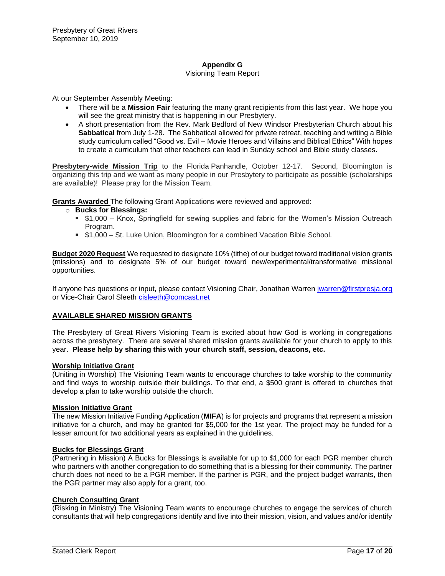# **Appendix G**

### Visioning Team Report

At our September Assembly Meeting:

- There will be a **Mission Fair** featuring the many grant recipients from this last year. We hope you will see the great ministry that is happening in our Presbytery.
- A short presentation from the Rev. Mark Bedford of New Windsor Presbyterian Church about his **Sabbatical** from July 1-28. The Sabbatical allowed for private retreat, teaching and writing a Bible study curriculum called "Good vs. Evil – Movie Heroes and Villains and Biblical Ethics" With hopes to create a curriculum that other teachers can lead in Sunday school and Bible study classes.

**Presbytery-wide Mission Trip** to the Florida Panhandle, October 12-17. Second, Bloomington is organizing this trip and we want as many people in our Presbytery to participate as possible (scholarships are available)! Please pray for the Mission Team.

**Grants Awarded** The following Grant Applications were reviewed and approved:

# o **Bucks for Blessings:**

- \$1,000 Knox, Springfield for sewing supplies and fabric for the Women's Mission Outreach Program.
- **\$1,000 St. Luke Union, Bloomington for a combined Vacation Bible School.**

**Budget 2020 Request** We requested to designate 10% (tithe) of our budget toward traditional vision grants (missions) and to designate 5% of our budget toward new/experimental/transformative missional opportunities.

If anyone has questions or input, please contact Visioning Chair, Jonathan Warren [jwarren@firstpresja.org](mailto:jwarren@firstpresja.org) or Vice-Chair Carol Sleeth [cisleeth@comcast.net](mailto:cisleeth@comcast.net)

# **AVAILABLE SHARED MISSION GRANTS**

The Presbytery of Great Rivers Visioning Team is excited about how God is working in congregations across the presbytery. There are several shared mission grants available for your church to apply to this year. **Please help by sharing this with your church staff, session, deacons, etc.**

#### **Worship Initiative Grant**

(Uniting in Worship) The Visioning Team wants to encourage churches to take worship to the community and find ways to worship outside their buildings. To that end, a \$500 grant is offered to churches that develop a plan to take worship outside the church.

#### **Mission Initiative Grant**

The new Mission Initiative Funding Application (**MIFA**) is for projects and programs that represent a mission initiative for a church, and may be granted for \$5,000 for the 1st year. The project may be funded for a lesser amount for two additional years as explained in the guidelines.

#### **Bucks for Blessings Grant**

(Partnering in Mission) A Bucks for Blessings is available for up to \$1,000 for each PGR member church who partners with another congregation to do something that is a blessing for their community. The partner church does not need to be a PGR member. If the partner is PGR, and the project budget warrants, then the PGR partner may also apply for a grant, too.

# **Church Consulting Grant**

(Risking in Ministry) The Visioning Team wants to encourage churches to engage the services of church consultants that will help congregations identify and live into their mission, vision, and values and/or identify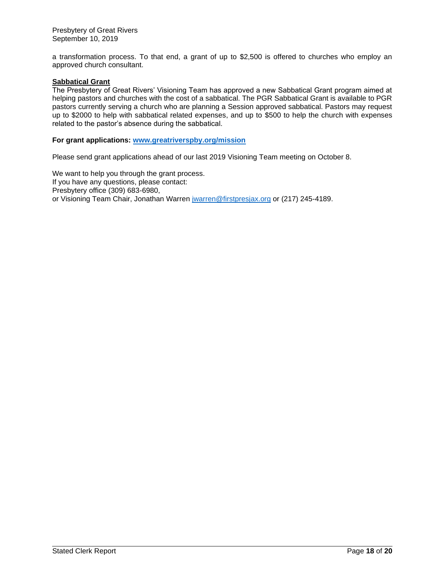a transformation process. To that end, a grant of up to \$2,500 is offered to churches who employ an approved church consultant.

# **Sabbatical Grant**

The Presbytery of Great Rivers' Visioning Team has approved a new Sabbatical Grant program aimed at helping pastors and churches with the cost of a sabbatical. The PGR Sabbatical Grant is available to PGR pastors currently serving a church who are planning a Session approved sabbatical. Pastors may request up to \$2000 to help with sabbatical related expenses, and up to \$500 to help the church with expenses related to the pastor's absence during the sabbatical.

# **For grant applications: [www.greatriverspby.org/mission](http://www.greatriverspby.org/mission)**

Please send grant applications ahead of our last 2019 Visioning Team meeting on October 8.

We want to help you through the grant process. If you have any questions, please contact: Presbytery office (309) 683-6980, or Visioning Team Chair, Jonathan Warren *jwarren@firstpresjax.org* or (217) 245-4189.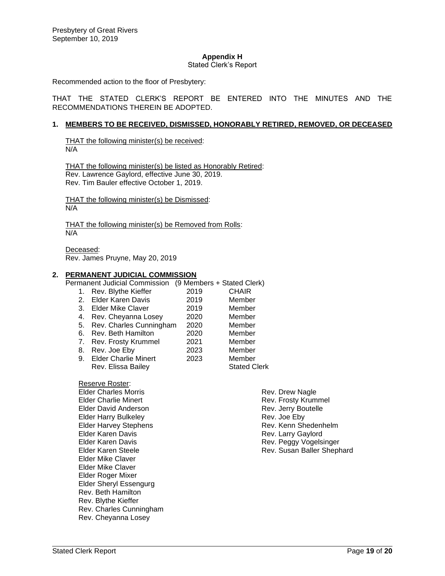# **Appendix H**

#### Stated Clerk's Report

Recommended action to the floor of Presbytery:

THAT THE STATED CLERK'S REPORT BE ENTERED INTO THE MINUTES AND THE RECOMMENDATIONS THEREIN BE ADOPTED.

#### **1. MEMBERS TO BE RECEIVED, DISMISSED, HONORABLY RETIRED, REMOVED, OR DECEASED**

THAT the following minister(s) be received:  $N/A$ 

THAT the following minister(s) be listed as Honorably Retired: Rev. Lawrence Gaylord, effective June 30, 2019. Rev. Tim Bauler effective October 1, 2019.

THAT the following minister(s) be Dismissed: N/A

THAT the following minister(s) be Removed from Rolls: N/A

Deceased: Rev. James Pruyne, May 20, 2019

#### **2. PERMANENT JUDICIAL COMMISSION**

Permanent Judicial Commission (9 Members + Stated Clerk) 1. Rev. Blythe Kieffer 2019 2. Elder Karen Davis 2019 Member 3. Elder Mike Claver 2019 Member 4. Rev. Cheyanna Losey 2020 Member 5. Rev. Charles Cunningham 2020 Member 6. Rev. Beth Hamilton 2020<br>1. Rev. Frosty Krummel 2021 7. Rev. Frosty Krummel 2021 Member 8. Rev. Joe Eby 2023 Member 9. Elder Charlie Minert 2023 Member Rev. Elissa Bailey **Stated Clerk** 

Reserve Roster: Elder Charles Morris Elder Charlie Minert Elder David Anderson Elder Harry Bulkeley Elder Harvey Stephens Elder Karen Davis Elder Karen Davis Elder Karen Steele Elder Mike Claver Elder Mike Claver Elder Roger Mixer Elder Sheryl Essengurg Rev. Beth Hamilton Rev. Blythe Kieffer Rev. Charles Cunningham Rev. Cheyanna Losey

Rev. Drew Nagle Rev. Frosty Krummel Rev. Jerry Boutelle Rev. Joe Eby Rev. Kenn Shedenhelm Rev. Larry Gaylord Rev. Peggy Vogelsinger Rev. Susan Baller Shephard